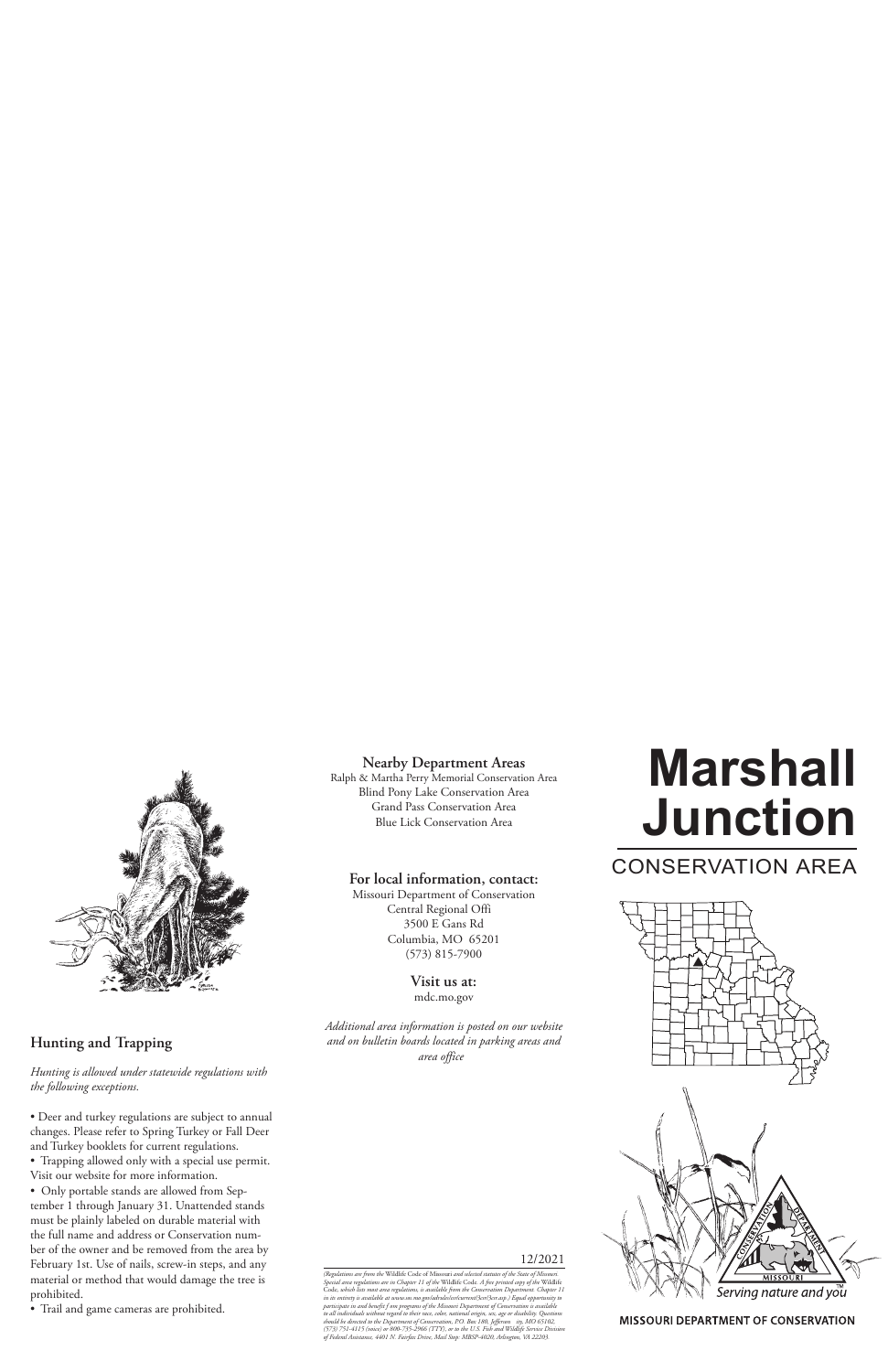

# **Hunting and Trapping**

*Hunting is allowed under statewide regulations with the following exceptions.*

- Deer and turkey regulations are subject to annual changes. Please refer to Spring Turkey or Fall Deer and Turkey booklets for current regulations.
- Trapping allowed only with a special use permit. Visit our website for more information.
- Only portable stands are allowed from September 1 through January 31. Unattended stands must be plainly labeled on durable material with the full name and address or Conservation number of the owner and be removed from the area by February 1st. Use of nails, screw-in steps, and any material or method that would damage the tree is prohibited.
- Trail and game cameras are prohibited.

## **Nearby Department Areas**

Ralph & Martha Perry Memorial Conservation Area Blind Pony Lake Conservation Area Grand Pass Conservation Area Blue Lick Conservation Area

### **For local information, contact:**

Missouri Department of Conservation Central Regional Offi 3500 E Gans Rd Columbia, MO 65201 (573) 815-7900

> **Visit us at:** mdc.mo.gov

*Additional area information is posted on our website and on bulletin boards located in parking areas and area office*

#### 12/2021

(Regulations are from the Wildlife Code of Missouri and selected statutes of the State of Missouri.<br>Special area regulations are in Chapter 11 of the Wildlife Code. A free printed copy of the Wildlife<br>Code, which lists mos in its entirety is available at www.sos.mo.gov/adrules/csr/current/3csr/3csr.asp.) Equal opportunity to<br>participate in and benefit f om programs of the Missouri Department of Conservation is available<br>to all individuals wi *should be directed to the Department of Conservation, P.O. Box 180, Jefferson ity, MO 65102, (573) 751-4115 (voice) or 800-735-2966 (TTY), or to the U.S. Fish and Wildlife Service Division of Federal Assistance, 4401 N. Fairfax Drive, Mail Stop: MBSP-4020, Arlington, VA 22203.*

# **Marshall Junction**

# CONSERVATION AREA



**MISSOURI DEPARTMENT OF CONSERVATION**